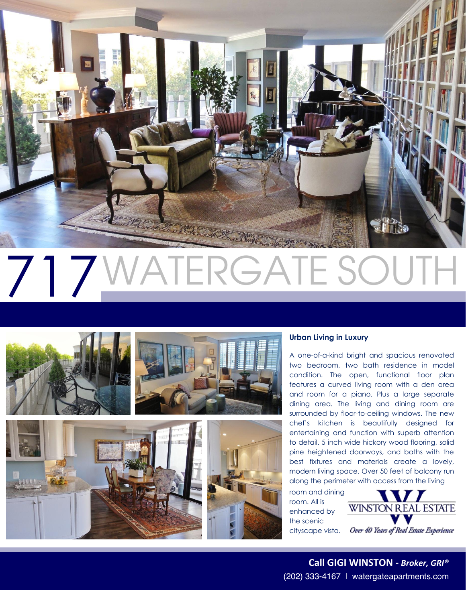

# 717 VATERGATE SOU







# **Urban Living in Luxury**

A one-of-a-kind bright and spacious renovated two bedroom, two bath residence in model condition. The open, functional floor plan features a curved living room with a den area and room for a piano. Plus a large separate dining area. The living and dining room are surrounded by floor-to-ceiling windows. The new chef's kitchen is beautifully designed for entertaining and function with superb attention to detail. 5 inch wide hickory wood flooring, solid pine heightened doorways, and baths with the best fixtures and materials create a lovely, modern living space. Over 50 feet of balcony run along the perimeter with access from the living

room and dining room. All is enhanced by the scenic cityscape vista.



(202) 333-4167 | watergateapartments.com **Call GIGI WINSTON -** *Broker, GRI®*